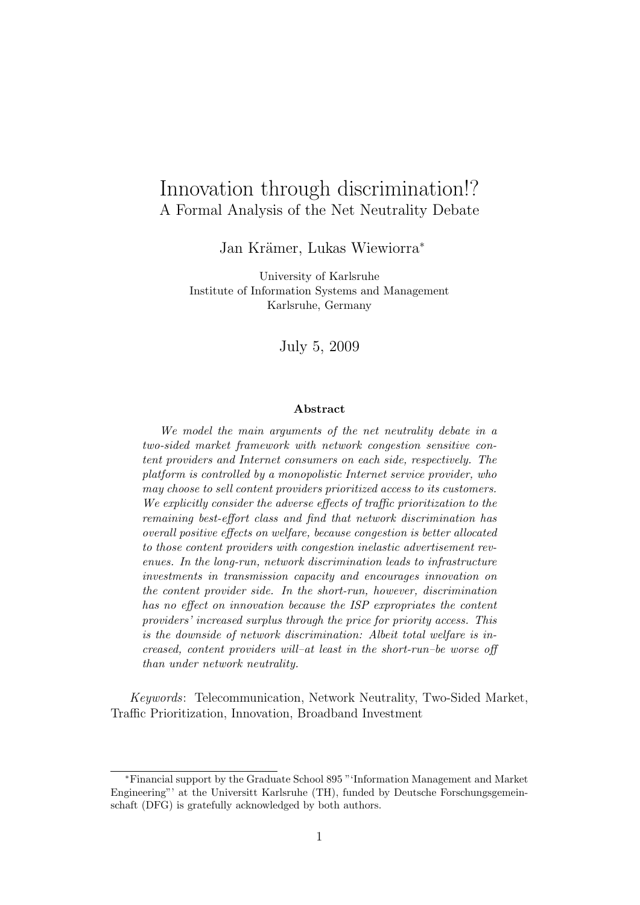# Innovation through discrimination!? A Formal Analysis of the Net Neutrality Debate

Jan Krämer, Lukas Wiewiorra<sup>\*</sup>

University of Karlsruhe Institute of Information Systems and Management Karlsruhe, Germany

July 5, 2009

#### Abstract

We model the main arguments of the net neutrality debate in a two-sided market framework with network congestion sensitive content providers and Internet consumers on each side, respectively. The platform is controlled by a monopolistic Internet service provider, who may choose to sell content providers prioritized access to its customers. We explicitly consider the adverse effects of traffic prioritization to the remaining best-effort class and find that network discrimination has overall positive effects on welfare, because congestion is better allocated to those content providers with congestion inelastic advertisement revenues. In the long-run, network discrimination leads to infrastructure investments in transmission capacity and encourages innovation on the content provider side. In the short-run, however, discrimination has no effect on innovation because the ISP expropriates the content providers' increased surplus through the price for priority access. This is the downside of network discrimination: Albeit total welfare is increased, content providers will–at least in the short-run–be worse off than under network neutrality.

Keywords: Telecommunication, Network Neutrality, Two-Sided Market, Traffic Prioritization, Innovation, Broadband Investment

<sup>∗</sup>Financial support by the Graduate School 895 "'Information Management and Market Engineering"' at the Universitt Karlsruhe (TH), funded by Deutsche Forschungsgemeinschaft (DFG) is gratefully acknowledged by both authors.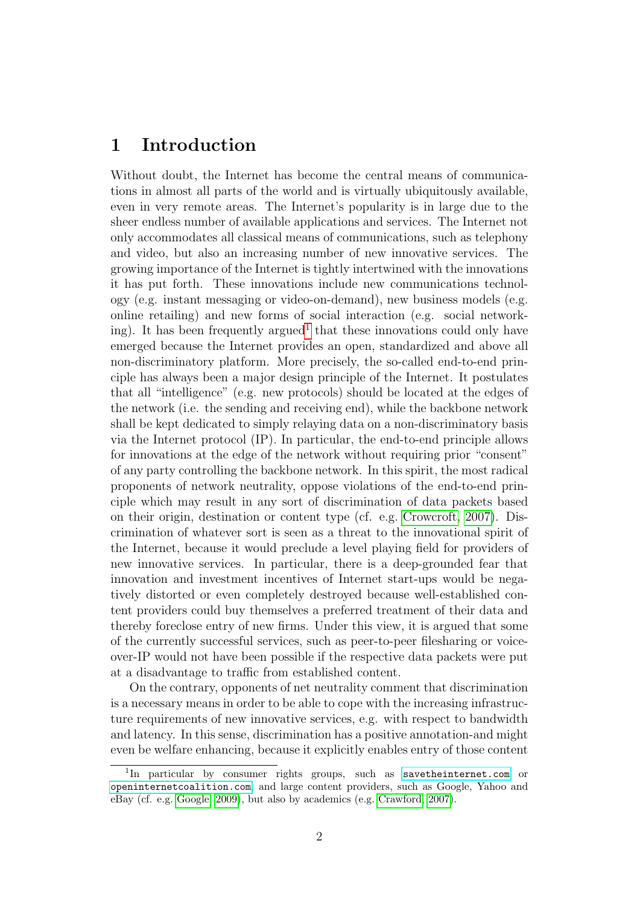## 1 Introduction

Without doubt, the Internet has become the central means of communications in almost all parts of the world and is virtually ubiquitously available, even in very remote areas. The Internet's popularity is in large due to the sheer endless number of available applications and services. The Internet not only accommodates all classical means of communications, such as telephony and video, but also an increasing number of new innovative services. The growing importance of the Internet is tightly intertwined with the innovations it has put forth. These innovations include new communications technology (e.g. instant messaging or video-on-demand), new business models (e.g. online retailing) and new forms of social interaction (e.g. social network-ing). It has been frequently argued<sup>[1](#page-1-0)</sup> that these innovations could only have emerged because the Internet provides an open, standardized and above all non-discriminatory platform. More precisely, the so-called end-to-end principle has always been a major design principle of the Internet. It postulates that all "intelligence" (e.g. new protocols) should be located at the edges of the network (i.e. the sending and receiving end), while the backbone network shall be kept dedicated to simply relaying data on a non-discriminatory basis via the Internet protocol (IP). In particular, the end-to-end principle allows for innovations at the edge of the network without requiring prior "consent" of any party controlling the backbone network. In this spirit, the most radical proponents of network neutrality, oppose violations of the end-to-end principle which may result in any sort of discrimination of data packets based on their origin, destination or content type (cf. e.g. [Crowcroft, 2007\)](#page-22-0). Discrimination of whatever sort is seen as a threat to the innovational spirit of the Internet, because it would preclude a level playing field for providers of new innovative services. In particular, there is a deep-grounded fear that innovation and investment incentives of Internet start-ups would be negatively distorted or even completely destroyed because well-established content providers could buy themselves a preferred treatment of their data and thereby foreclose entry of new firms. Under this view, it is argued that some of the currently successful services, such as peer-to-peer filesharing or voiceover-IP would not have been possible if the respective data packets were put at a disadvantage to traffic from established content.

On the contrary, opponents of net neutrality comment that discrimination is a necessary means in order to be able to cope with the increasing infrastructure requirements of new innovative services, e.g. with respect to bandwidth and latency. In this sense, discrimination has a positive annotation-and might even be welfare enhancing, because it explicitly enables entry of those content

<span id="page-1-0"></span><sup>&</sup>lt;sup>1</sup>In particular by consumer rights groups, such as <savetheinternet.com> or <openinternetcoalition.com>, and large content providers, such as Google, Yahoo and eBay (cf. e.g. [Google, 2009\)](#page-22-1), but also by academics (e.g. [Crawford, 2007\)](#page-22-2).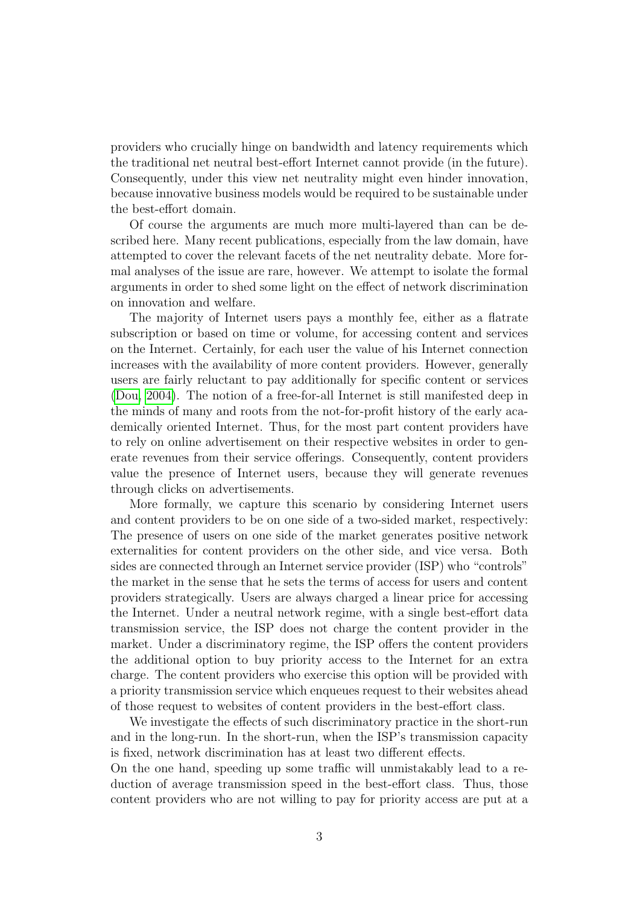providers who crucially hinge on bandwidth and latency requirements which the traditional net neutral best-effort Internet cannot provide (in the future). Consequently, under this view net neutrality might even hinder innovation, because innovative business models would be required to be sustainable under the best-effort domain.

Of course the arguments are much more multi-layered than can be described here. Many recent publications, especially from the law domain, have attempted to cover the relevant facets of the net neutrality debate. More formal analyses of the issue are rare, however. We attempt to isolate the formal arguments in order to shed some light on the effect of network discrimination on innovation and welfare.

The majority of Internet users pays a monthly fee, either as a flatrate subscription or based on time or volume, for accessing content and services on the Internet. Certainly, for each user the value of his Internet connection increases with the availability of more content providers. However, generally users are fairly reluctant to pay additionally for specific content or services [\(Dou, 2004\)](#page-22-3). The notion of a free-for-all Internet is still manifested deep in the minds of many and roots from the not-for-profit history of the early academically oriented Internet. Thus, for the most part content providers have to rely on online advertisement on their respective websites in order to generate revenues from their service offerings. Consequently, content providers value the presence of Internet users, because they will generate revenues through clicks on advertisements.

More formally, we capture this scenario by considering Internet users and content providers to be on one side of a two-sided market, respectively: The presence of users on one side of the market generates positive network externalities for content providers on the other side, and vice versa. Both sides are connected through an Internet service provider (ISP) who "controls" the market in the sense that he sets the terms of access for users and content providers strategically. Users are always charged a linear price for accessing the Internet. Under a neutral network regime, with a single best-effort data transmission service, the ISP does not charge the content provider in the market. Under a discriminatory regime, the ISP offers the content providers the additional option to buy priority access to the Internet for an extra charge. The content providers who exercise this option will be provided with a priority transmission service which enqueues request to their websites ahead of those request to websites of content providers in the best-effort class.

We investigate the effects of such discriminatory practice in the short-run and in the long-run. In the short-run, when the ISP's transmission capacity is fixed, network discrimination has at least two different effects.

On the one hand, speeding up some traffic will unmistakably lead to a reduction of average transmission speed in the best-effort class. Thus, those content providers who are not willing to pay for priority access are put at a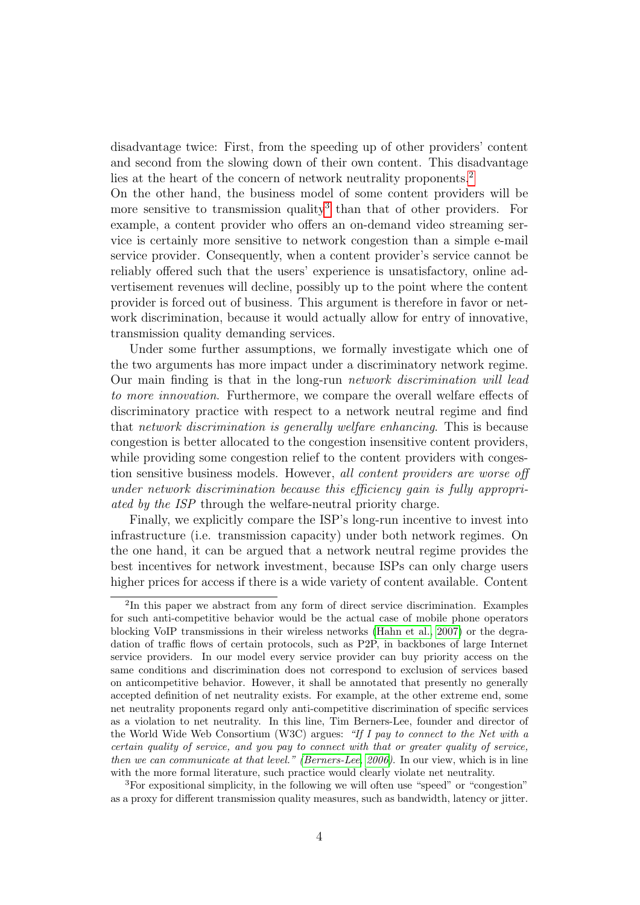disadvantage twice: First, from the speeding up of other providers' content and second from the slowing down of their own content. This disadvantage lies at the heart of the concern of network neutrality proponents.<sup>[2](#page-3-0)</sup>

On the other hand, the business model of some content providers will be more sensitive to transmission quality<sup>[3](#page-3-1)</sup> than that of other providers. For example, a content provider who offers an on-demand video streaming service is certainly more sensitive to network congestion than a simple e-mail service provider. Consequently, when a content provider's service cannot be reliably offered such that the users' experience is unsatisfactory, online advertisement revenues will decline, possibly up to the point where the content provider is forced out of business. This argument is therefore in favor or network discrimination, because it would actually allow for entry of innovative, transmission quality demanding services.

Under some further assumptions, we formally investigate which one of the two arguments has more impact under a discriminatory network regime. Our main finding is that in the long-run network discrimination will lead to more innovation. Furthermore, we compare the overall welfare effects of discriminatory practice with respect to a network neutral regime and find that network discrimination is generally welfare enhancing. This is because congestion is better allocated to the congestion insensitive content providers, while providing some congestion relief to the content providers with congestion sensitive business models. However, all content providers are worse off under network discrimination because this efficiency gain is fully appropriated by the ISP through the welfare-neutral priority charge.

Finally, we explicitly compare the ISP's long-run incentive to invest into infrastructure (i.e. transmission capacity) under both network regimes. On the one hand, it can be argued that a network neutral regime provides the best incentives for network investment, because ISPs can only charge users higher prices for access if there is a wide variety of content available. Content

<span id="page-3-0"></span><sup>&</sup>lt;sup>2</sup>In this paper we abstract from any form of direct service discrimination. Examples for such anti-competitive behavior would be the actual case of mobile phone operators blocking VoIP transmissions in their wireless networks [\(Hahn et al., 2007\)](#page-22-4) or the degradation of traffic flows of certain protocols, such as P2P, in backbones of large Internet service providers. In our model every service provider can buy priority access on the same conditions and discrimination does not correspond to exclusion of services based on anticompetitive behavior. However, it shall be annotated that presently no generally accepted definition of net neutrality exists. For example, at the other extreme end, some net neutrality proponents regard only anti-competitive discrimination of specific services as a violation to net neutrality. In this line, Tim Berners-Lee, founder and director of the World Wide Web Consortium (W3C) argues: "If I pay to connect to the Net with a certain quality of service, and you pay to connect with that or greater quality of service, then we can communicate at that level." [\(Berners-Lee, 2006\)](#page-22-5). In our view, which is in line with the more formal literature, such practice would clearly violate net neutrality.

<span id="page-3-1"></span><sup>3</sup>For expositional simplicity, in the following we will often use "speed" or "congestion" as a proxy for different transmission quality measures, such as bandwidth, latency or jitter.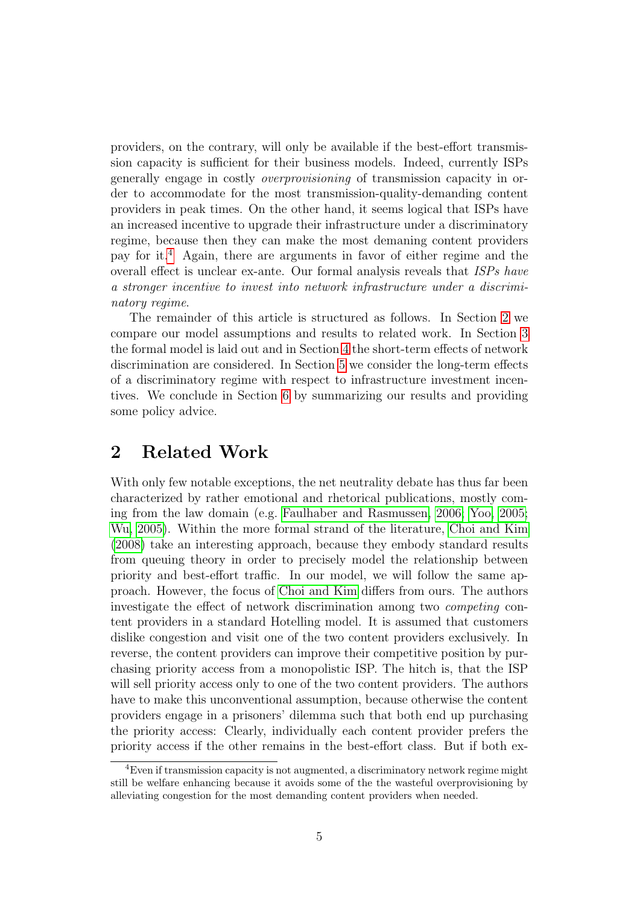providers, on the contrary, will only be available if the best-effort transmission capacity is sufficient for their business models. Indeed, currently ISPs generally engage in costly overprovisioning of transmission capacity in order to accommodate for the most transmission-quality-demanding content providers in peak times. On the other hand, it seems logical that ISPs have an increased incentive to upgrade their infrastructure under a discriminatory regime, because then they can make the most demaning content providers pay for it.[4](#page-4-0) Again, there are arguments in favor of either regime and the overall effect is unclear ex-ante. Our formal analysis reveals that ISPs have a stronger incentive to invest into network infrastructure under a discriminatory regime.

The remainder of this article is structured as follows. In Section [2](#page-4-1) we compare our model assumptions and results to related work. In Section [3](#page-6-0) the formal model is laid out and in Section [4](#page-11-0) the short-term effects of network discrimination are considered. In Section [5](#page-17-0) we consider the long-term effects of a discriminatory regime with respect to infrastructure investment incentives. We conclude in Section [6](#page-21-0) by summarizing our results and providing some policy advice.

## <span id="page-4-1"></span>2 Related Work

With only few notable exceptions, the net neutrality debate has thus far been characterized by rather emotional and rhetorical publications, mostly coming from the law domain (e.g. [Faulhaber and Rasmussen, 2006;](#page-22-6) [Yoo, 2005;](#page-22-7) [Wu, 2005\)](#page-22-8). Within the more formal strand of the literature, [Choi and Kim](#page-22-9) [\(2008\)](#page-22-9) take an interesting approach, because they embody standard results from queuing theory in order to precisely model the relationship between priority and best-effort traffic. In our model, we will follow the same approach. However, the focus of [Choi and Kim](#page-22-9) differs from ours. The authors investigate the effect of network discrimination among two competing content providers in a standard Hotelling model. It is assumed that customers dislike congestion and visit one of the two content providers exclusively. In reverse, the content providers can improve their competitive position by purchasing priority access from a monopolistic ISP. The hitch is, that the ISP will sell priority access only to one of the two content providers. The authors have to make this unconventional assumption, because otherwise the content providers engage in a prisoners' dilemma such that both end up purchasing the priority access: Clearly, individually each content provider prefers the priority access if the other remains in the best-effort class. But if both ex-

<span id="page-4-0"></span><sup>4</sup>Even if transmission capacity is not augmented, a discriminatory network regime might still be welfare enhancing because it avoids some of the the wasteful overprovisioning by alleviating congestion for the most demanding content providers when needed.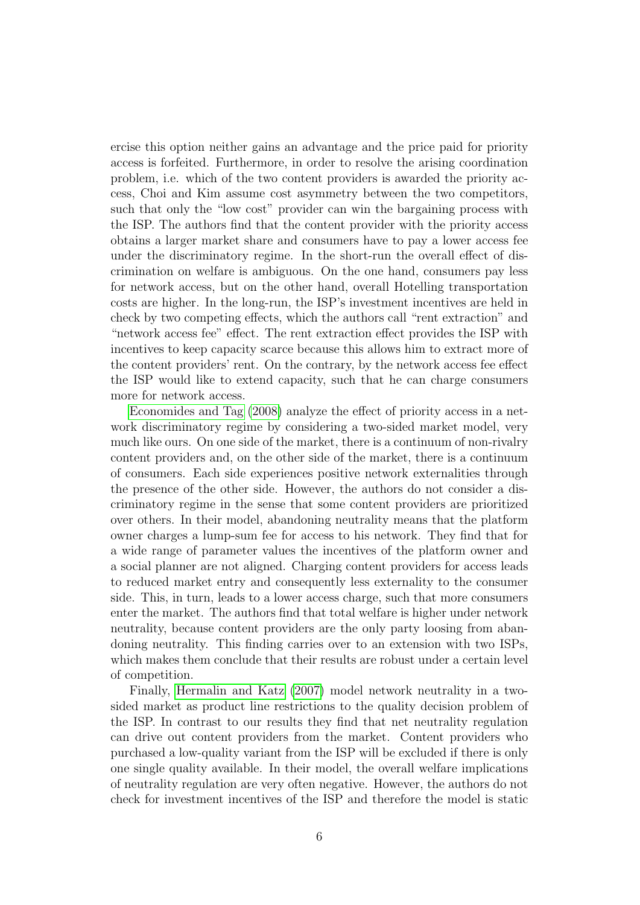ercise this option neither gains an advantage and the price paid for priority access is forfeited. Furthermore, in order to resolve the arising coordination problem, i.e. which of the two content providers is awarded the priority access, Choi and Kim assume cost asymmetry between the two competitors, such that only the "low cost" provider can win the bargaining process with the ISP. The authors find that the content provider with the priority access obtains a larger market share and consumers have to pay a lower access fee under the discriminatory regime. In the short-run the overall effect of discrimination on welfare is ambiguous. On the one hand, consumers pay less for network access, but on the other hand, overall Hotelling transportation costs are higher. In the long-run, the ISP's investment incentives are held in check by two competing effects, which the authors call "rent extraction" and "network access fee" effect. The rent extraction effect provides the ISP with incentives to keep capacity scarce because this allows him to extract more of the content providers' rent. On the contrary, by the network access fee effect the ISP would like to extend capacity, such that he can charge consumers more for network access.

[Economides and Tag](#page-22-10) [\(2008\)](#page-22-10) analyze the effect of priority access in a network discriminatory regime by considering a two-sided market model, very much like ours. On one side of the market, there is a continuum of non-rivalry content providers and, on the other side of the market, there is a continuum of consumers. Each side experiences positive network externalities through the presence of the other side. However, the authors do not consider a discriminatory regime in the sense that some content providers are prioritized over others. In their model, abandoning neutrality means that the platform owner charges a lump-sum fee for access to his network. They find that for a wide range of parameter values the incentives of the platform owner and a social planner are not aligned. Charging content providers for access leads to reduced market entry and consequently less externality to the consumer side. This, in turn, leads to a lower access charge, such that more consumers enter the market. The authors find that total welfare is higher under network neutrality, because content providers are the only party loosing from abandoning neutrality. This finding carries over to an extension with two ISPs, which makes them conclude that their results are robust under a certain level of competition.

Finally, [Hermalin and Katz](#page-22-11) [\(2007\)](#page-22-11) model network neutrality in a twosided market as product line restrictions to the quality decision problem of the ISP. In contrast to our results they find that net neutrality regulation can drive out content providers from the market. Content providers who purchased a low-quality variant from the ISP will be excluded if there is only one single quality available. In their model, the overall welfare implications of neutrality regulation are very often negative. However, the authors do not check for investment incentives of the ISP and therefore the model is static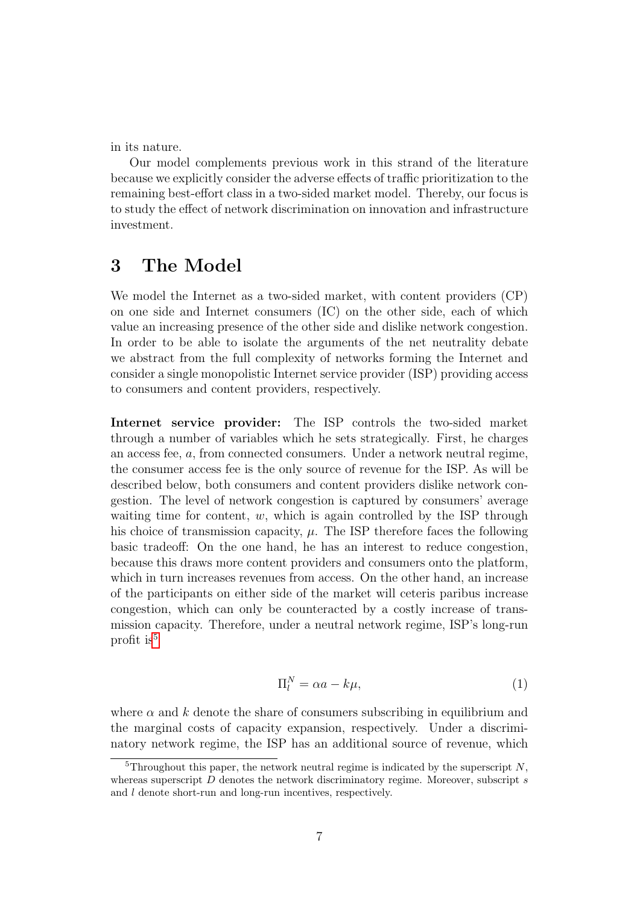in its nature.

Our model complements previous work in this strand of the literature because we explicitly consider the adverse effects of traffic prioritization to the remaining best-effort class in a two-sided market model. Thereby, our focus is to study the effect of network discrimination on innovation and infrastructure investment.

## <span id="page-6-0"></span>3 The Model

We model the Internet as a two-sided market, with content providers (CP) on one side and Internet consumers (IC) on the other side, each of which value an increasing presence of the other side and dislike network congestion. In order to be able to isolate the arguments of the net neutrality debate we abstract from the full complexity of networks forming the Internet and consider a single monopolistic Internet service provider (ISP) providing access to consumers and content providers, respectively.

Internet service provider: The ISP controls the two-sided market through a number of variables which he sets strategically. First, he charges an access fee, a, from connected consumers. Under a network neutral regime, the consumer access fee is the only source of revenue for the ISP. As will be described below, both consumers and content providers dislike network congestion. The level of network congestion is captured by consumers' average waiting time for content,  $w$ , which is again controlled by the ISP through his choice of transmission capacity,  $\mu$ . The ISP therefore faces the following basic tradeoff: On the one hand, he has an interest to reduce congestion, because this draws more content providers and consumers onto the platform, which in turn increases revenues from access. On the other hand, an increase of the participants on either side of the market will ceteris paribus increase congestion, which can only be counteracted by a costly increase of transmission capacity. Therefore, under a neutral network regime, ISP's long-run profit is<sup>[5](#page-6-1)</sup>

$$
\Pi_l^N = \alpha a - k\mu,\tag{1}
$$

where  $\alpha$  and k denote the share of consumers subscribing in equilibrium and the marginal costs of capacity expansion, respectively. Under a discriminatory network regime, the ISP has an additional source of revenue, which

<span id="page-6-1"></span> ${}^{5}$ Throughout this paper, the network neutral regime is indicated by the superscript N, whereas superscript  $D$  denotes the network discriminatory regime. Moreover, subscript  $s$ and l denote short-run and long-run incentives, respectively.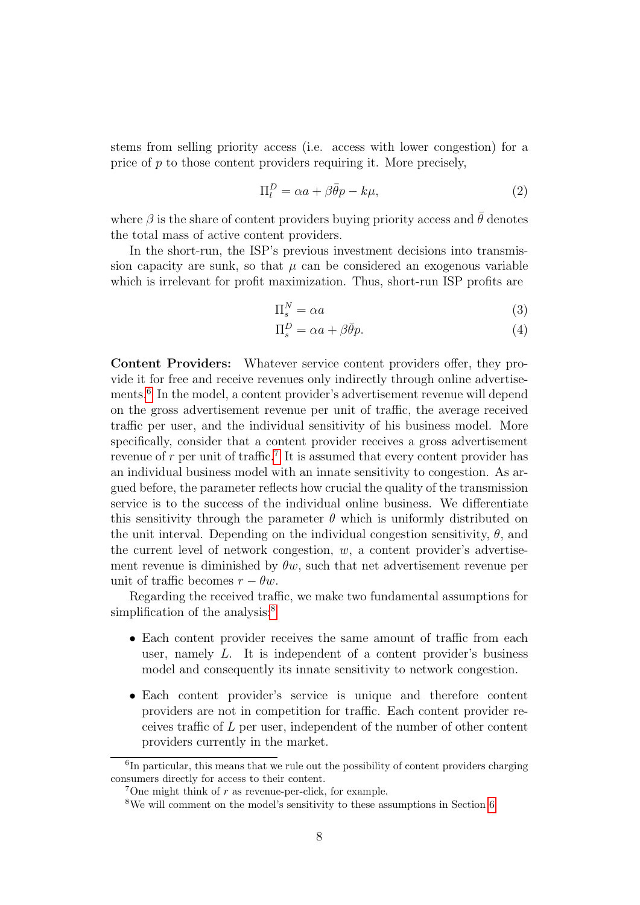stems from selling priority access (i.e. access with lower congestion) for a price of p to those content providers requiring it. More precisely,

$$
\Pi_l^D = \alpha a + \beta \bar{\theta} p - k\mu,\tag{2}
$$

where  $\beta$  is the share of content providers buying priority access and  $\hat{\theta}$  denotes the total mass of active content providers.

In the short-run, the ISP's previous investment decisions into transmission capacity are sunk, so that  $\mu$  can be considered an exogenous variable which is irrelevant for profit maximization. Thus, short-run ISP profits are

<span id="page-7-3"></span>
$$
\Pi_s^N = \alpha a \tag{3}
$$

$$
\Pi_s^D = \alpha a + \beta \bar{\theta} p. \tag{4}
$$

Content Providers: Whatever service content providers offer, they provide it for free and receive revenues only indirectly through online advertise-ments.<sup>[6](#page-7-0)</sup> In the model, a content provider's advertisement revenue will depend on the gross advertisement revenue per unit of traffic, the average received traffic per user, and the individual sensitivity of his business model. More specifically, consider that a content provider receives a gross advertisement revenue of  $r$  per unit of traffic.<sup>[7](#page-7-1)</sup> It is assumed that every content provider has an individual business model with an innate sensitivity to congestion. As argued before, the parameter reflects how crucial the quality of the transmission service is to the success of the individual online business. We differentiate this sensitivity through the parameter  $\theta$  which is uniformly distributed on the unit interval. Depending on the individual congestion sensitivity,  $\theta$ , and the current level of network congestion,  $w$ , a content provider's advertisement revenue is diminished by  $\theta w$ , such that net advertisement revenue per unit of traffic becomes  $r - \theta w$ .

Regarding the received traffic, we make two fundamental assumptions for simplification of the analysis:<sup>[8](#page-7-2)</sup>

- Each content provider receives the same amount of traffic from each user, namely  $L$ . It is independent of a content provider's business model and consequently its innate sensitivity to network congestion.
- Each content provider's service is unique and therefore content providers are not in competition for traffic. Each content provider receives traffic of L per user, independent of the number of other content providers currently in the market.

<span id="page-7-0"></span><sup>&</sup>lt;sup>6</sup>In particular, this means that we rule out the possibility of content providers charging consumers directly for access to their content.

<span id="page-7-1"></span><sup>&</sup>lt;sup>7</sup>One might think of  $r$  as revenue-per-click, for example.

<span id="page-7-2"></span><sup>8</sup>We will comment on the model's sensitivity to these assumptions in Section [6.](#page-21-0)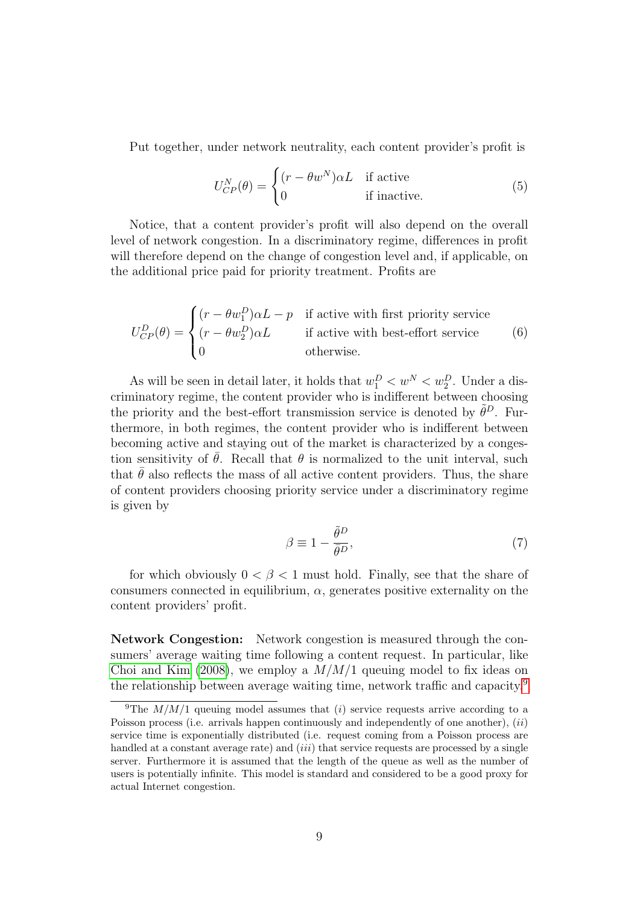Put together, under network neutrality, each content provider's profit is

<span id="page-8-1"></span>
$$
U_{CP}^{N}(\theta) = \begin{cases} (r - \theta w^{N}) \alpha L & \text{if active} \\ 0 & \text{if inactive.} \end{cases}
$$
 (5)

Notice, that a content provider's profit will also depend on the overall level of network congestion. In a discriminatory regime, differences in profit will therefore depend on the change of congestion level and, if applicable, on the additional price paid for priority treatment. Profits are

$$
U_{CP}^{D}(\theta) = \begin{cases} (r - \theta w_1^D)\alpha L - p & \text{if active with first priority service} \\ (r - \theta w_2^D)\alpha L & \text{if active with best-effort service} \\ 0 & \text{otherwise.} \end{cases}
$$
(6)

As will be seen in detail later, it holds that  $w_1^D < w^N < w_2^D$ . Under a discriminatory regime, the content provider who is indifferent between choosing the priority and the best-effort transmission service is denoted by  $\tilde{\theta}^D$ . Furthermore, in both regimes, the content provider who is indifferent between becoming active and staying out of the market is characterized by a congestion sensitivity of  $\theta$ . Recall that  $\theta$  is normalized to the unit interval, such that  $\theta$  also reflects the mass of all active content providers. Thus, the share of content providers choosing priority service under a discriminatory regime is given by

<span id="page-8-3"></span><span id="page-8-2"></span>
$$
\beta \equiv 1 - \frac{\tilde{\theta}^D}{\bar{\theta}^D},\tag{7}
$$

for which obviously  $0 < \beta < 1$  must hold. Finally, see that the share of consumers connected in equilibrium,  $\alpha$ , generates positive externality on the content providers' profit.

Network Congestion: Network congestion is measured through the consumers' average waiting time following a content request. In particular, like [Choi and Kim](#page-22-9) [\(2008\)](#page-22-9), we employ a  $M/M/1$  queuing model to fix ideas on the relationship between average waiting time, network traffic and capacity.[9](#page-8-0)

<span id="page-8-0"></span><sup>&</sup>lt;sup>9</sup>The  $M/M/1$  queuing model assumes that (i) service requests arrive according to a Poisson process (i.e. arrivals happen continuously and independently of one another),  $(ii)$ service time is exponentially distributed (i.e. request coming from a Poisson process are handled at a constant average rate) and  $(iii)$  that service requests are processed by a single server. Furthermore it is assumed that the length of the queue as well as the number of users is potentially infinite. This model is standard and considered to be a good proxy for actual Internet congestion.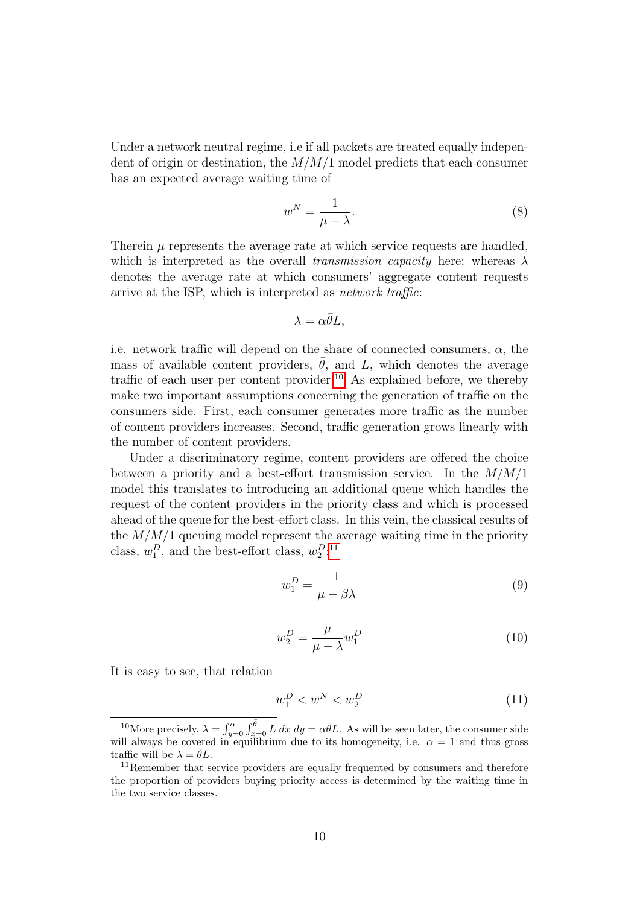Under a network neutral regime, i.e if all packets are treated equally independent of origin or destination, the  $M/M/1$  model predicts that each consumer has an expected average waiting time of

<span id="page-9-2"></span>
$$
w^N = \frac{1}{\mu - \lambda}.\tag{8}
$$

Therein  $\mu$  represents the average rate at which service requests are handled, which is interpreted as the overall transmission capacity here; whereas  $\lambda$ denotes the average rate at which consumers' aggregate content requests arrive at the ISP, which is interpreted as network traffic:

$$
\lambda = \alpha \bar{\theta} L,
$$

i.e. network traffic will depend on the share of connected consumers,  $\alpha$ , the mass of available content providers,  $\bar{\theta}$ , and L, which denotes the average traffic of each user per content provider.<sup>[10](#page-9-0)</sup> As explained before, we thereby make two important assumptions concerning the generation of traffic on the consumers side. First, each consumer generates more traffic as the number of content providers increases. Second, traffic generation grows linearly with the number of content providers.

Under a discriminatory regime, content providers are offered the choice between a priority and a best-effort transmission service. In the  $M/M/1$ model this translates to introducing an additional queue which handles the request of the content providers in the priority class and which is processed ahead of the queue for the best-effort class. In this vein, the classical results of the  $M/M/1$  queuing model represent the average waiting time in the priority class,  $w_1^D$ , and the best-effort class,  $w_2^{D,11}$  $w_2^{D,11}$  $w_2^{D,11}$ 

<span id="page-9-4"></span>
$$
w_1^D = \frac{1}{\mu - \beta \lambda} \tag{9}
$$

<span id="page-9-5"></span>
$$
w_2^D = \frac{\mu}{\mu - \lambda} w_1^D \tag{10}
$$

It is easy to see, that relation

<span id="page-9-3"></span>
$$
w_1^D < w^N < w_2^D \tag{11}
$$

<span id="page-9-0"></span><sup>&</sup>lt;sup>10</sup>More precisely,  $\lambda = \int_{y=0}^{\alpha} \int_{x=0}^{\bar{\theta}} L dx dy = \alpha \bar{\theta} L$ . As will be seen later, the consumer side will always be covered in equilibrium due to its homogeneity, i.e.  $\alpha = 1$  and thus gross traffic will be  $\lambda = \bar{\theta}L$ .

<span id="page-9-1"></span><sup>&</sup>lt;sup>11</sup>Remember that service providers are equally frequented by consumers and therefore the proportion of providers buying priority access is determined by the waiting time in the two service classes.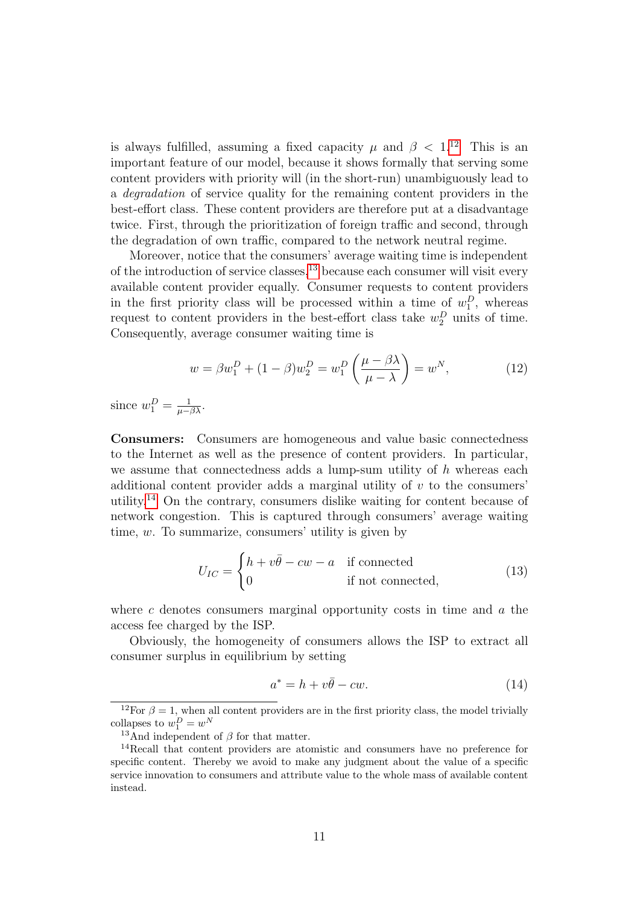is always fulfilled, assuming a fixed capacity  $\mu$  and  $\beta$  < 1.<sup>[12](#page-10-0)</sup> This is an important feature of our model, because it shows formally that serving some content providers with priority will (in the short-run) unambiguously lead to a degradation of service quality for the remaining content providers in the best-effort class. These content providers are therefore put at a disadvantage twice. First, through the prioritization of foreign traffic and second, through the degradation of own traffic, compared to the network neutral regime.

Moreover, notice that the consumers' average waiting time is independent of the introduction of service classes, $^{13}$  $^{13}$  $^{13}$  because each consumer will visit every available content provider equally. Consumer requests to content providers in the first priority class will be processed within a time of  $w_1^D$ , whereas request to content providers in the best-effort class take  $w_2^D$  units of time. Consequently, average consumer waiting time is

<span id="page-10-3"></span>
$$
w = \beta w_1^D + (1 - \beta) w_2^D = w_1^D \left(\frac{\mu - \beta \lambda}{\mu - \lambda}\right) = w^N,
$$
\n(12)

since  $w_1^D = \frac{1}{\mu - \beta \lambda}$ .

Consumers: Consumers are homogeneous and value basic connectedness to the Internet as well as the presence of content providers. In particular, we assume that connectedness adds a lump-sum utility of  $h$  whereas each additional content provider adds a marginal utility of  $v$  to the consumers' utility.[14](#page-10-2) On the contrary, consumers dislike waiting for content because of network congestion. This is captured through consumers' average waiting time, w. To summarize, consumers' utility is given by

$$
U_{IC} = \begin{cases} h + v\bar{\theta} - cw - a & \text{if connected} \\ 0 & \text{if not connected,} \end{cases}
$$
 (13)

where c denotes consumers marginal opportunity costs in time and  $a$  the access fee charged by the ISP.

Obviously, the homogeneity of consumers allows the ISP to extract all consumer surplus in equilibrium by setting

<span id="page-10-4"></span>
$$
a^* = h + v\bar{\theta} - cw.
$$
\n(14)

<span id="page-10-0"></span><sup>&</sup>lt;sup>12</sup>For  $\beta = 1$ , when all content providers are in the first priority class, the model trivially collapses to  $w_1^D = w^N$ 

<span id="page-10-2"></span><span id="page-10-1"></span><sup>&</sup>lt;sup>13</sup>And independent of  $\beta$  for that matter.

<sup>14</sup>Recall that content providers are atomistic and consumers have no preference for specific content. Thereby we avoid to make any judgment about the value of a specific service innovation to consumers and attribute value to the whole mass of available content instead.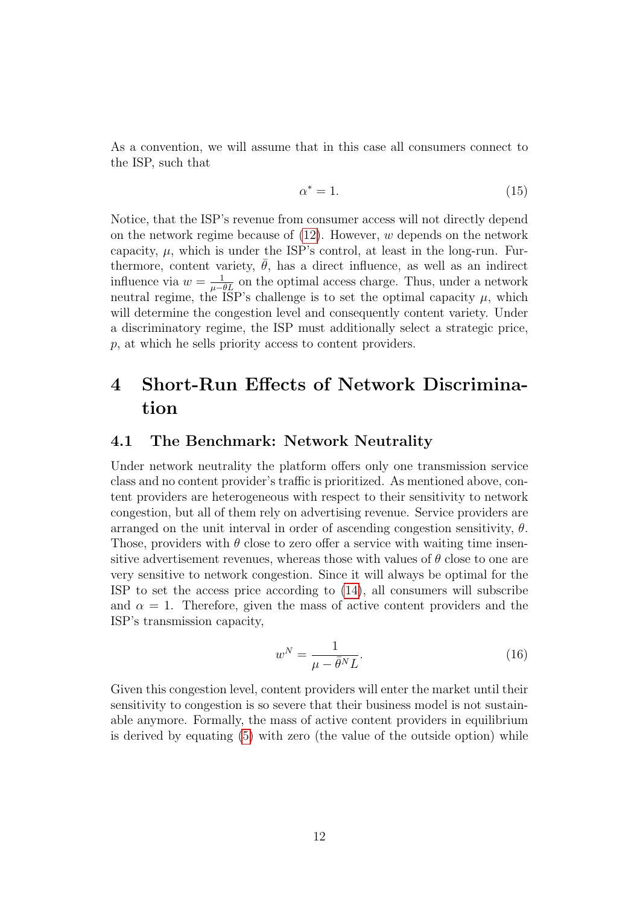As a convention, we will assume that in this case all consumers connect to the ISP, such that

<span id="page-11-1"></span>
$$
\alpha^* = 1. \tag{15}
$$

Notice, that the ISP's revenue from consumer access will not directly depend on the network regime because of  $(12)$ . However, w depends on the network capacity,  $\mu$ , which is under the ISP's control, at least in the long-run. Furthermore, content variety,  $\bar{\theta}$ , has a direct influence, as well as an indirect influence via  $w = \frac{1}{\mu - \theta L}$  on the optimal access charge. Thus, under a network neutral regime, the ISP's challenge is to set the optimal capacity  $\mu$ , which will determine the congestion level and consequently content variety. Under a discriminatory regime, the ISP must additionally select a strategic price, p, at which he sells priority access to content providers.

# <span id="page-11-0"></span>4 Short-Run Effects of Network Discrimination

#### 4.1 The Benchmark: Network Neutrality

Under network neutrality the platform offers only one transmission service class and no content provider's traffic is prioritized. As mentioned above, content providers are heterogeneous with respect to their sensitivity to network congestion, but all of them rely on advertising revenue. Service providers are arranged on the unit interval in order of ascending congestion sensitivity,  $\theta$ . Those, providers with  $\theta$  close to zero offer a service with waiting time insensitive advertisement revenues, whereas those with values of  $\theta$  close to one are very sensitive to network congestion. Since it will always be optimal for the ISP to set the access price according to [\(14\)](#page-10-4), all consumers will subscribe and  $\alpha = 1$ . Therefore, given the mass of active content providers and the ISP's transmission capacity,

$$
w^N = \frac{1}{\mu - \bar{\theta}^N L}.\tag{16}
$$

Given this congestion level, content providers will enter the market until their sensitivity to congestion is so severe that their business model is not sustainable anymore. Formally, the mass of active content providers in equilibrium is derived by equating [\(5\)](#page-8-1) with zero (the value of the outside option) while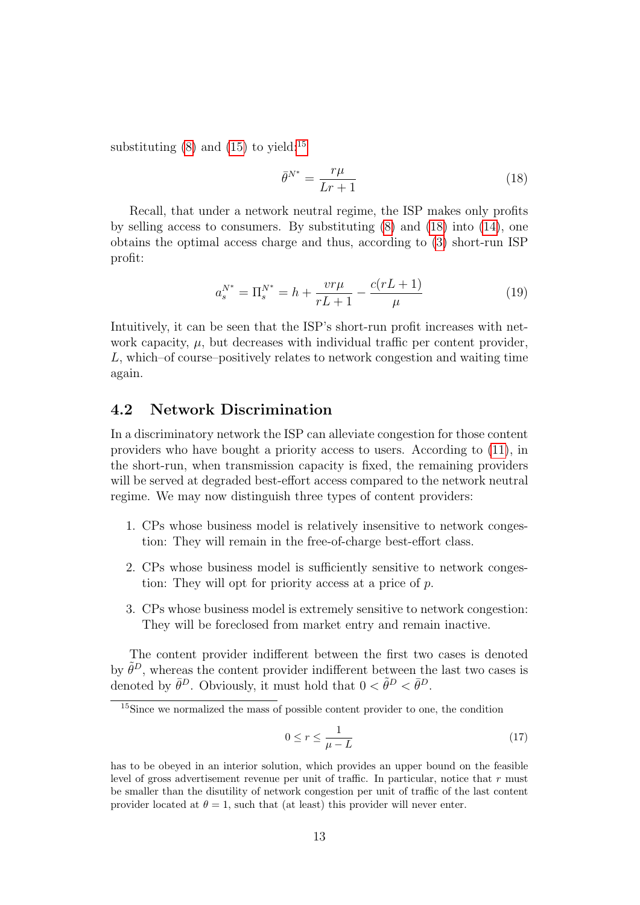substituting  $(8)$  and  $(15)$  to yield:<sup>[15](#page-12-0)</sup>

<span id="page-12-1"></span>
$$
\bar{\theta}^{N^*} = \frac{r\mu}{Lr+1} \tag{18}
$$

Recall, that under a network neutral regime, the ISP makes only profits by selling access to consumers. By substituting [\(8\)](#page-9-2) and [\(18\)](#page-12-1) into [\(14\)](#page-10-4), one obtains the optimal access charge and thus, according to [\(3\)](#page-7-3) short-run ISP profit:

$$
a_s^{N^*} = \Pi_s^{N^*} = h + \frac{vr\mu}{rL+1} - \frac{c(rL+1)}{\mu} \tag{19}
$$

Intuitively, it can be seen that the ISP's short-run profit increases with network capacity,  $\mu$ , but decreases with individual traffic per content provider, L, which–of course–positively relates to network congestion and waiting time again.

### 4.2 Network Discrimination

In a discriminatory network the ISP can alleviate congestion for those content providers who have bought a priority access to users. According to [\(11\)](#page-9-3), in the short-run, when transmission capacity is fixed, the remaining providers will be served at degraded best-effort access compared to the network neutral regime. We may now distinguish three types of content providers:

- 1. CPs whose business model is relatively insensitive to network congestion: They will remain in the free-of-charge best-effort class.
- 2. CPs whose business model is sufficiently sensitive to network congestion: They will opt for priority access at a price of p.
- 3. CPs whose business model is extremely sensitive to network congestion: They will be foreclosed from market entry and remain inactive.

The content provider indifferent between the first two cases is denoted by  $\tilde{\theta}^D$ , whereas the content provider indifferent between the last two cases is denoted by  $\bar{\theta}^D$ . Obviously, it must hold that  $0 < \tilde{\theta}^D < \bar{\theta}^D$ .

$$
0 \le r \le \frac{1}{\mu - L} \tag{17}
$$

<span id="page-12-0"></span><sup>15</sup>Since we normalized the mass of possible content provider to one, the condition

has to be obeyed in an interior solution, which provides an upper bound on the feasible level of gross advertisement revenue per unit of traffic. In particular, notice that  $r$  must be smaller than the disutility of network congestion per unit of traffic of the last content provider located at  $\theta = 1$ , such that (at least) this provider will never enter.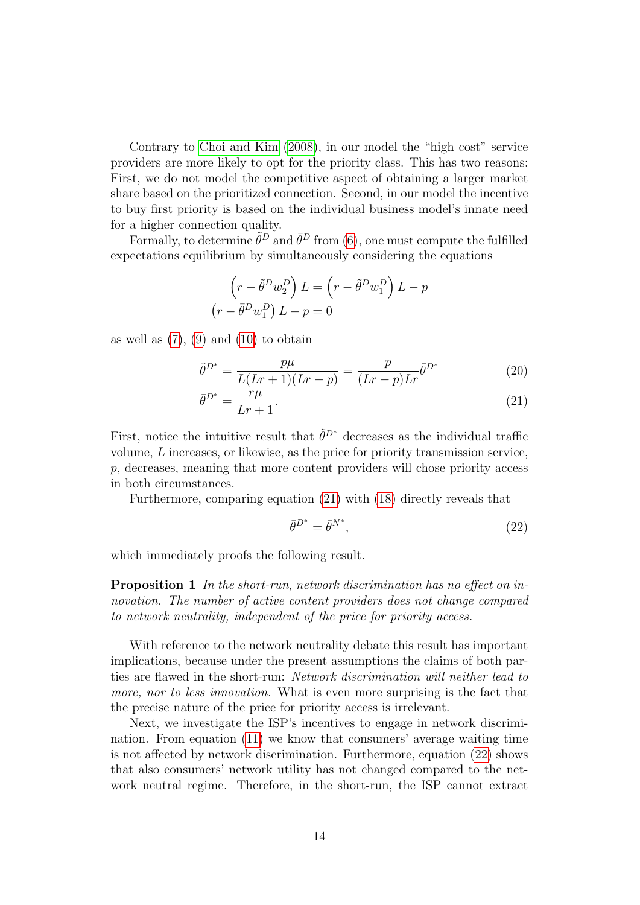Contrary to [Choi and Kim](#page-22-9) [\(2008\)](#page-22-9), in our model the "high cost" service providers are more likely to opt for the priority class. This has two reasons: First, we do not model the competitive aspect of obtaining a larger market share based on the prioritized connection. Second, in our model the incentive to buy first priority is based on the individual business model's innate need for a higher connection quality.

Formally, to determine  $\tilde{\theta}^D$  and  $\bar{\theta}^D$  from [\(6\)](#page-8-2), one must compute the fulfilled expectations equilibrium by simultaneously considering the equations

$$
\left(r - \tilde{\theta}^D w_2^D\right) L = \left(r - \tilde{\theta}^D w_1^D\right) L - p
$$

$$
\left(r - \bar{\theta}^D w_1^D\right) L - p = 0
$$

as well as  $(7)$ ,  $(9)$  and  $(10)$  to obtain

$$
\tilde{\theta}^{D^*} = \frac{p\mu}{L(Lr+1)(Lr-p)} = \frac{p}{(Lr-p)Lr} \bar{\theta}^{D^*}
$$
\n(20)

$$
\bar{\theta}^{D^*} = \frac{r\mu}{Lr+1}.\tag{21}
$$

First, notice the intuitive result that  $\tilde{\theta}^{D^*}$  decreases as the individual traffic volume, L increases, or likewise, as the price for priority transmission service, p, decreases, meaning that more content providers will chose priority access in both circumstances.

Furthermore, comparing equation [\(21\)](#page-13-0) with [\(18\)](#page-12-1) directly reveals that

<span id="page-13-1"></span><span id="page-13-0"></span>
$$
\bar{\theta}^{D^*} = \bar{\theta}^{N^*},\tag{22}
$$

<span id="page-13-2"></span>which immediately proofs the following result.

Proposition 1 In the short-run, network discrimination has no effect on innovation. The number of active content providers does not change compared to network neutrality, independent of the price for priority access.

With reference to the network neutrality debate this result has important implications, because under the present assumptions the claims of both parties are flawed in the short-run: Network discrimination will neither lead to more, nor to less innovation. What is even more surprising is the fact that the precise nature of the price for priority access is irrelevant.

Next, we investigate the ISP's incentives to engage in network discrimination. From equation [\(11\)](#page-9-3) we know that consumers' average waiting time is not affected by network discrimination. Furthermore, equation [\(22\)](#page-13-1) shows that also consumers' network utility has not changed compared to the network neutral regime. Therefore, in the short-run, the ISP cannot extract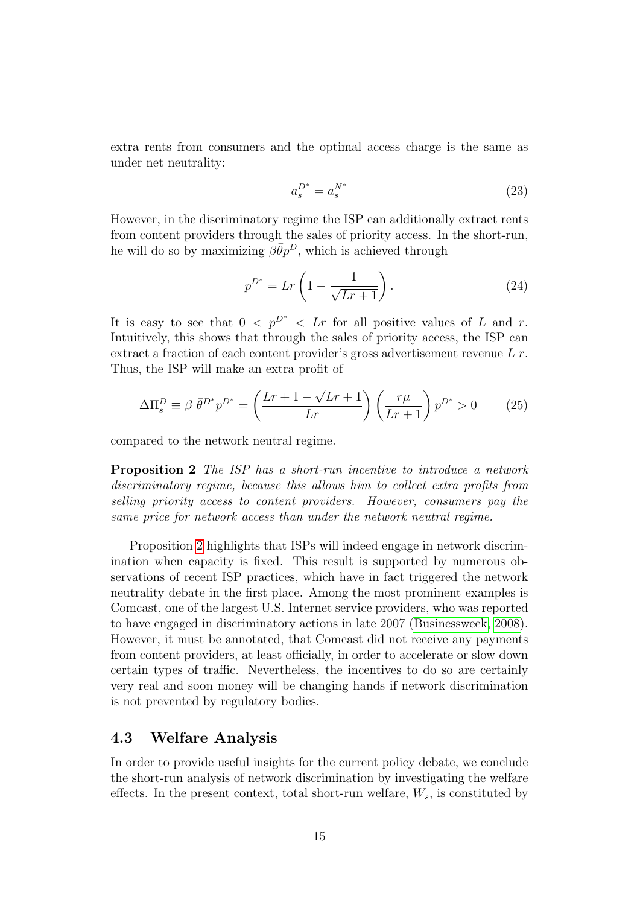extra rents from consumers and the optimal access charge is the same as under net neutrality:

<span id="page-14-2"></span>
$$
a_s^{D^*} = a_s^{N^*} \tag{23}
$$

However, in the discriminatory regime the ISP can additionally extract rents from content providers through the sales of priority access. In the short-run, he will do so by maximizing  $\beta \bar{\theta} p^D$ , which is achieved through

<span id="page-14-1"></span>
$$
p^{D^*} = Lr\left(1 - \frac{1}{\sqrt{Lr + 1}}\right). \tag{24}
$$

It is easy to see that  $0 < p^{D^*} < Lr$  for all positive values of L and r. Intuitively, this shows that through the sales of priority access, the ISP can extract a fraction of each content provider's gross advertisement revenue L r. Thus, the ISP will make an extra profit of

$$
\Delta \Pi_s^D \equiv \beta \ \bar{\theta}^{D^*} p^{D^*} = \left(\frac{Lr + 1 - \sqrt{Lr + 1}}{Lr}\right) \left(\frac{r\mu}{Lr + 1}\right) p^{D^*} > 0 \tag{25}
$$

<span id="page-14-0"></span>compared to the network neutral regime.

Proposition 2 The ISP has a short-run incentive to introduce a network discriminatory regime, because this allows him to collect extra profits from selling priority access to content providers. However, consumers pay the same price for network access than under the network neutral regime.

Proposition [2](#page-14-0) highlights that ISPs will indeed engage in network discrimination when capacity is fixed. This result is supported by numerous observations of recent ISP practices, which have in fact triggered the network neutrality debate in the first place. Among the most prominent examples is Comcast, one of the largest U.S. Internet service providers, who was reported to have engaged in discriminatory actions in late 2007 [\(Businessweek, 2008\)](#page-22-12). However, it must be annotated, that Comcast did not receive any payments from content providers, at least officially, in order to accelerate or slow down certain types of traffic. Nevertheless, the incentives to do so are certainly very real and soon money will be changing hands if network discrimination is not prevented by regulatory bodies.

## 4.3 Welfare Analysis

In order to provide useful insights for the current policy debate, we conclude the short-run analysis of network discrimination by investigating the welfare effects. In the present context, total short-run welfare,  $W_s$ , is constituted by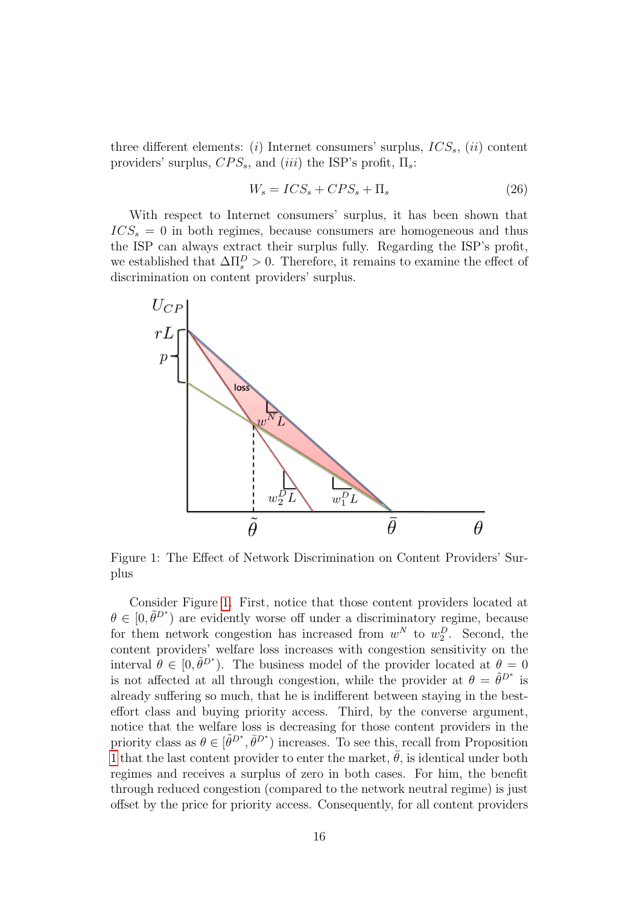three different elements: (i) Internet consumers' surplus,  $ICS_s$ , (ii) content providers' surplus,  $CPS_s$ , and (iii) the ISP's profit,  $\Pi_s$ :

$$
W_s = ICS_s + CPS_s + \Pi_s \tag{26}
$$

With respect to Internet consumers' surplus, it has been shown that  $ICS_s = 0$  in both regimes, because consumers are homogeneous and thus the ISP can always extract their surplus fully. Regarding the ISP's profit, we established that  $\Delta \Pi_s^D > 0$ . Therefore, it remains to examine the effect of discrimination on content providers' surplus.



<span id="page-15-0"></span>Figure 1: The Effect of Network Discrimination on Content Providers' Surplus

Consider Figure [1.](#page-15-0) First, notice that those content providers located at  $\theta \in [0, \tilde{\theta}^{D^*})$  are evidently worse off under a discriminatory regime, because for them network congestion has increased from  $w^N$  to  $w_2^D$ . Second, the content providers' welfare loss increases with congestion sensitivity on the interval  $\hat{\theta} \in [0, \tilde{\theta}^{D^*})$ . The business model of the provider located at  $\theta = 0$ is not affected at all through congestion, while the provider at  $\theta = \tilde{\theta}^{D^*}$  is already suffering so much, that he is indifferent between staying in the besteffort class and buying priority access. Third, by the converse argument, notice that the welfare loss is decreasing for those content providers in the priority class as  $\theta \in [\tilde{\theta}^{D^*}, \bar{\theta}^{D^*}]$  increases. To see this, recall from Proposition [1](#page-13-2) that the last content provider to enter the market,  $\bar{\theta}$ , is identical under both regimes and receives a surplus of zero in both cases. For him, the benefit through reduced congestion (compared to the network neutral regime) is just offset by the price for priority access. Consequently, for all content providers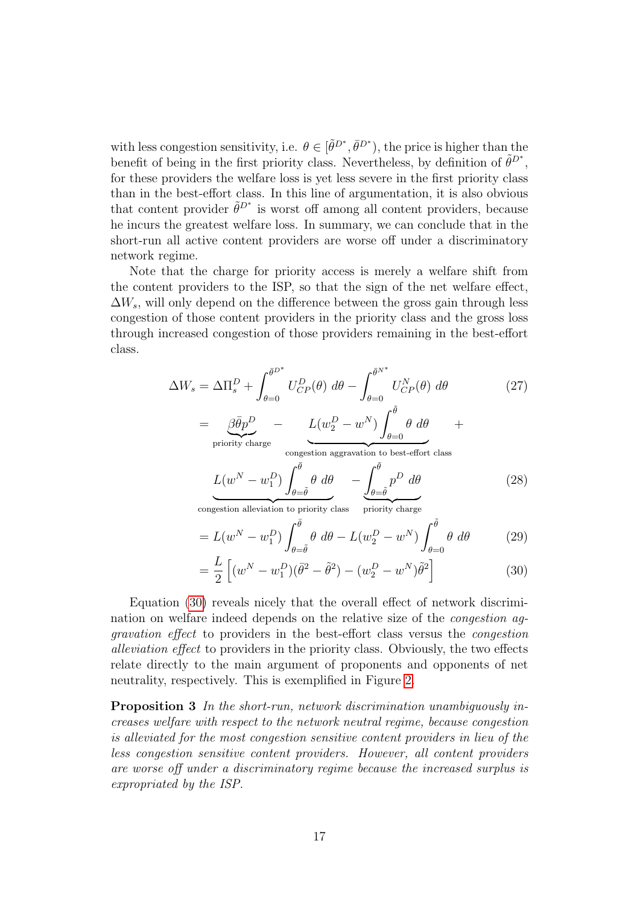with less congestion sensitivity, i.e.  $\theta \in [\tilde{\theta}^{D^*}, \bar{\theta}^{D^*})$ , the price is higher than the benefit of being in the first priority class. Nevertheless, by definition of  $\tilde{\theta}^{D^*}$ , for these providers the welfare loss is yet less severe in the first priority class than in the best-effort class. In this line of argumentation, it is also obvious that content provider  $\tilde{\theta}^{D^*}$  is worst off among all content providers, because he incurs the greatest welfare loss. In summary, we can conclude that in the short-run all active content providers are worse off under a discriminatory network regime.

Note that the charge for priority access is merely a welfare shift from the content providers to the ISP, so that the sign of the net welfare effect,  $\Delta W_s$ , will only depend on the difference between the gross gain through less congestion of those content providers in the priority class and the gross loss through increased congestion of those providers remaining in the best-effort class.

$$
\Delta W_s = \Delta \Pi_s^D + \int_{\theta=0}^{\bar{\theta}D^*} U_{CP}^D(\theta) \, d\theta - \int_{\theta=0}^{\bar{\theta}N^*} U_{CP}^N(\theta) \, d\theta \qquad (27)
$$

$$
= \underbrace{\beta \bar{\theta}p^D}_{\text{priority charge}} - \underbrace{L(w_2^D - w^N) \int_{\theta=0}^{\bar{\theta}} \theta \, d\theta}_{\text{congestion aggregation to best-effort class}}
$$

$$
\underbrace{L(w^N - w_1^D) \int_{\theta=\bar{\theta}}^{\bar{\theta}} \theta \, d\theta}_{\text{congestion alleviation to priority class}} - \underbrace{\int_{\theta=\bar{\theta}}^{\bar{\theta}} p^D \, d\theta}_{\text{priority charge}}
$$
(28)

$$
= L(w^N - w_1^D) \int_{\theta = \tilde{\theta}}^{\bar{\theta}} \theta \, d\theta - L(w_2^D - w^N) \int_{\theta = 0}^{\tilde{\theta}} \theta \, d\theta \tag{29}
$$

<span id="page-16-1"></span><span id="page-16-0"></span>
$$
= \frac{L}{2} \left[ (w^N - w_1^D)(\bar{\theta}^2 - \tilde{\theta}^2) - (w_2^D - w^N)\tilde{\theta}^2 \right]
$$
 (30)

Equation [\(30\)](#page-16-0) reveals nicely that the overall effect of network discrimination on welfare indeed depends on the relative size of the congestion aggravation effect to providers in the best-effort class versus the congestion alleviation effect to providers in the priority class. Obviously, the two effects relate directly to the main argument of proponents and opponents of net neutrality, respectively. This is exemplified in Figure [2.](#page-17-1)

Proposition 3 In the short-run, network discrimination unambiguously increases welfare with respect to the network neutral regime, because congestion is alleviated for the most congestion sensitive content providers in lieu of the less congestion sensitive content providers. However, all content providers are worse off under a discriminatory regime because the increased surplus is expropriated by the ISP.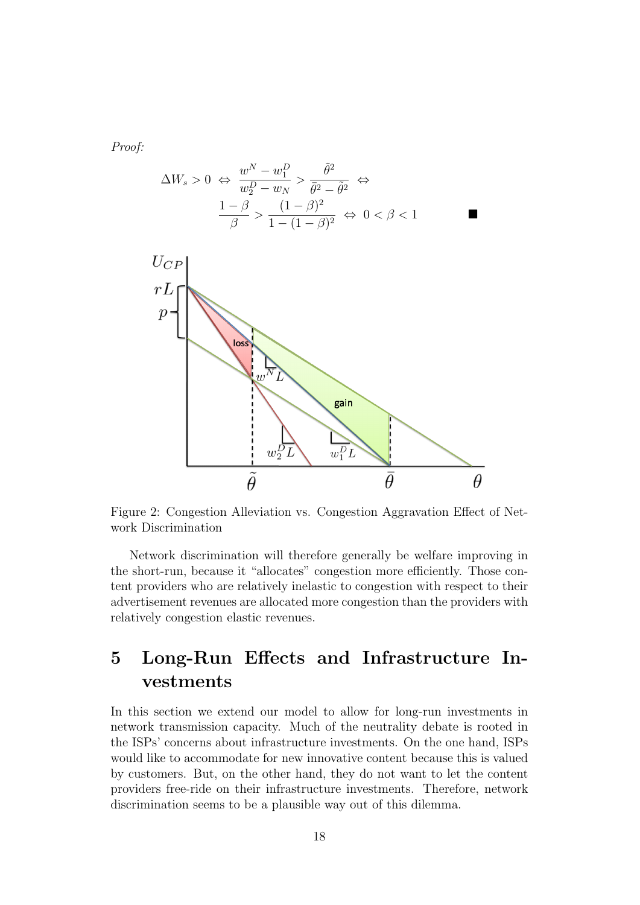Proof:

$$
\Delta W_s > 0 \iff \frac{w^N - w_1^D}{w_2^D - w_N} > \frac{\tilde{\theta}^2}{\bar{\theta}^2 - \tilde{\theta}^2} \iff \frac{1 - \beta}{\beta} > \frac{(1 - \beta)^2}{1 - (1 - \beta)^2} \iff 0 < \beta < 1
$$



<span id="page-17-1"></span>Figure 2: Congestion Alleviation vs. Congestion Aggravation Effect of Network Discrimination

Network discrimination will therefore generally be welfare improving in the short-run, because it "allocates" congestion more efficiently. Those content providers who are relatively inelastic to congestion with respect to their advertisement revenues are allocated more congestion than the providers with relatively congestion elastic revenues.

# <span id="page-17-0"></span>5 Long-Run Effects and Infrastructure Investments

In this section we extend our model to allow for long-run investments in network transmission capacity. Much of the neutrality debate is rooted in the ISPs' concerns about infrastructure investments. On the one hand, ISPs would like to accommodate for new innovative content because this is valued by customers. But, on the other hand, they do not want to let the content providers free-ride on their infrastructure investments. Therefore, network discrimination seems to be a plausible way out of this dilemma.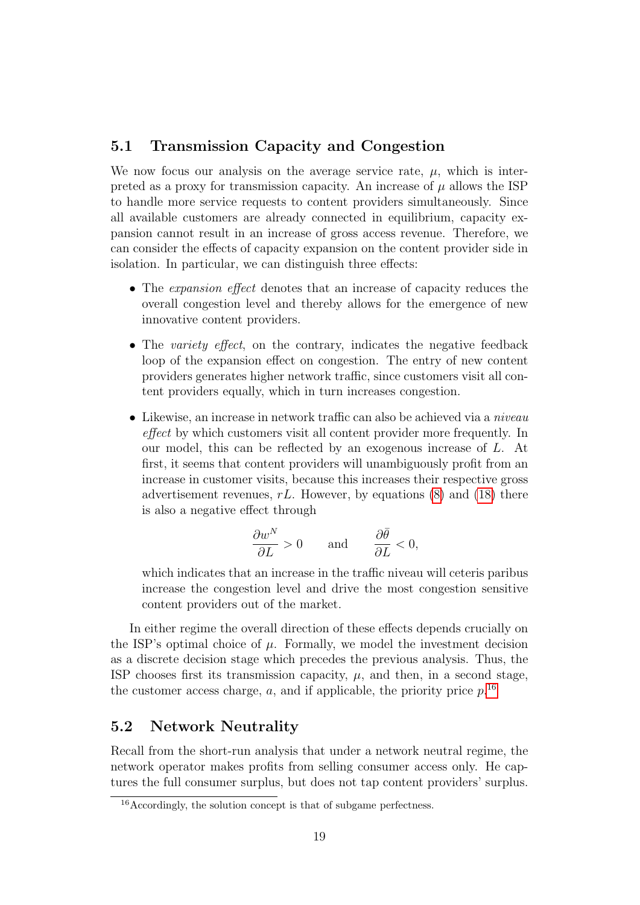## 5.1 Transmission Capacity and Congestion

We now focus our analysis on the average service rate,  $\mu$ , which is interpreted as a proxy for transmission capacity. An increase of  $\mu$  allows the ISP to handle more service requests to content providers simultaneously. Since all available customers are already connected in equilibrium, capacity expansion cannot result in an increase of gross access revenue. Therefore, we can consider the effects of capacity expansion on the content provider side in isolation. In particular, we can distinguish three effects:

- The *expansion effect* denotes that an increase of capacity reduces the overall congestion level and thereby allows for the emergence of new innovative content providers.
- The variety effect, on the contrary, indicates the negative feedback loop of the expansion effect on congestion. The entry of new content providers generates higher network traffic, since customers visit all content providers equally, which in turn increases congestion.
- Likewise, an increase in network traffic can also be achieved via a niveau effect by which customers visit all content provider more frequently. In our model, this can be reflected by an exogenous increase of L. At first, it seems that content providers will unambiguously profit from an increase in customer visits, because this increases their respective gross advertisement revenues,  $rL$ . However, by equations [\(8\)](#page-9-2) and [\(18\)](#page-12-1) there is also a negative effect through

$$
\frac{\partial w^N}{\partial L} > 0 \quad \text{and} \quad \frac{\partial \bar{\theta}}{\partial L} < 0,
$$

which indicates that an increase in the traffic niveau will ceteris paribus increase the congestion level and drive the most congestion sensitive content providers out of the market.

In either regime the overall direction of these effects depends crucially on the ISP's optimal choice of  $\mu$ . Formally, we model the investment decision as a discrete decision stage which precedes the previous analysis. Thus, the ISP chooses first its transmission capacity,  $\mu$ , and then, in a second stage, the customer access charge, a, and if applicable, the priority price  $p^{16}$  $p^{16}$  $p^{16}$ 

### 5.2 Network Neutrality

Recall from the short-run analysis that under a network neutral regime, the network operator makes profits from selling consumer access only. He captures the full consumer surplus, but does not tap content providers' surplus.

<span id="page-18-0"></span><sup>16</sup>Accordingly, the solution concept is that of subgame perfectness.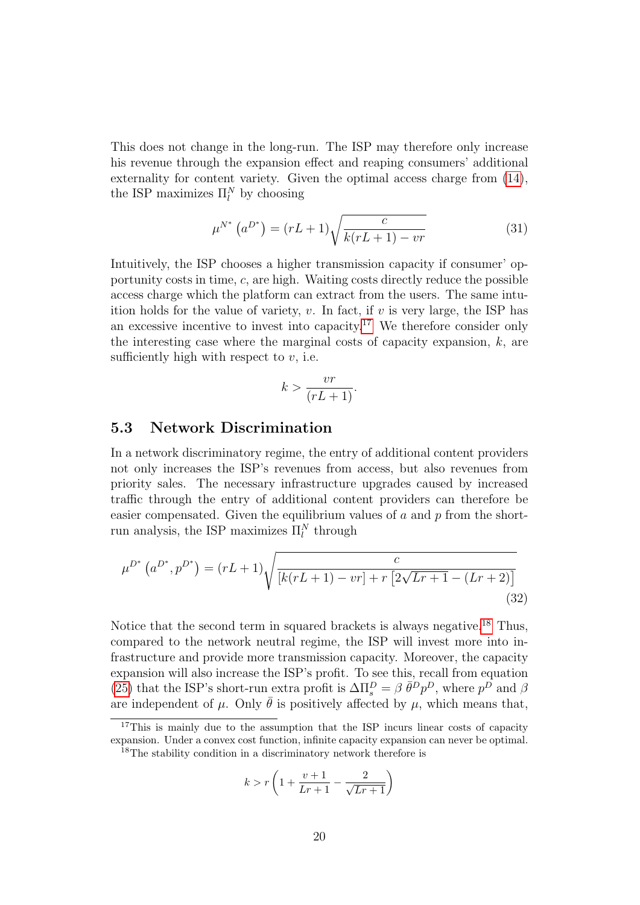This does not change in the long-run. The ISP may therefore only increase his revenue through the expansion effect and reaping consumers' additional externality for content variety. Given the optimal access charge from [\(14\)](#page-10-4), the ISP maximizes  $\Pi_l^N$  by choosing

$$
\mu^{N^*} (a^{D^*}) = (rL+1) \sqrt{\frac{c}{k(rL+1) - vr}}
$$
\n(31)

Intuitively, the ISP chooses a higher transmission capacity if consumer' opportunity costs in time,  $c$ , are high. Waiting costs directly reduce the possible access charge which the platform can extract from the users. The same intuition holds for the value of variety,  $v$ . In fact, if  $v$  is very large, the ISP has an excessive incentive to invest into capacity.<sup>[17](#page-19-0)</sup> We therefore consider only the interesting case where the marginal costs of capacity expansion,  $k$ , are sufficiently high with respect to  $v$ , i.e.

$$
k > \frac{vr}{(rL+1)}.
$$

#### 5.3 Network Discrimination

In a network discriminatory regime, the entry of additional content providers not only increases the ISP's revenues from access, but also revenues from priority sales. The necessary infrastructure upgrades caused by increased traffic through the entry of additional content providers can therefore be easier compensated. Given the equilibrium values of a and  $p$  from the shortrun analysis, the ISP maximizes  $\Pi_l^N$  through

$$
\mu^{D^*} (a^{D^*}, p^{D^*}) = (rL+1) \sqrt{\frac{c}{[k(rL+1) - vr] + r [2\sqrt{Lr+1} - (Lr+2)]}}
$$
\n(32)

Notice that the second term in squared brackets is always negative.<sup>[18](#page-19-1)</sup> Thus, compared to the network neutral regime, the ISP will invest more into infrastructure and provide more transmission capacity. Moreover, the capacity expansion will also increase the ISP's profit. To see this, recall from equation [\(25\)](#page-14-1) that the ISP's short-run extra profit is  $\Delta \Pi_s^D = \beta \bar{\theta}^D p^D$ , where  $p^D$  and  $\beta$ are independent of  $\mu$ . Only  $\bar{\theta}$  is positively affected by  $\mu$ , which means that,

<span id="page-19-1"></span>
$$
^{18}
$$
The stability condition in a discriminatory network therefore is

$$
k > r \left( 1 + \frac{v+1}{Lr+1} - \frac{2}{\sqrt{Lr+1}} \right)
$$

<span id="page-19-0"></span><sup>&</sup>lt;sup>17</sup>This is mainly due to the assumption that the ISP incurs linear costs of capacity expansion. Under a convex cost function, infinite capacity expansion can never be optimal.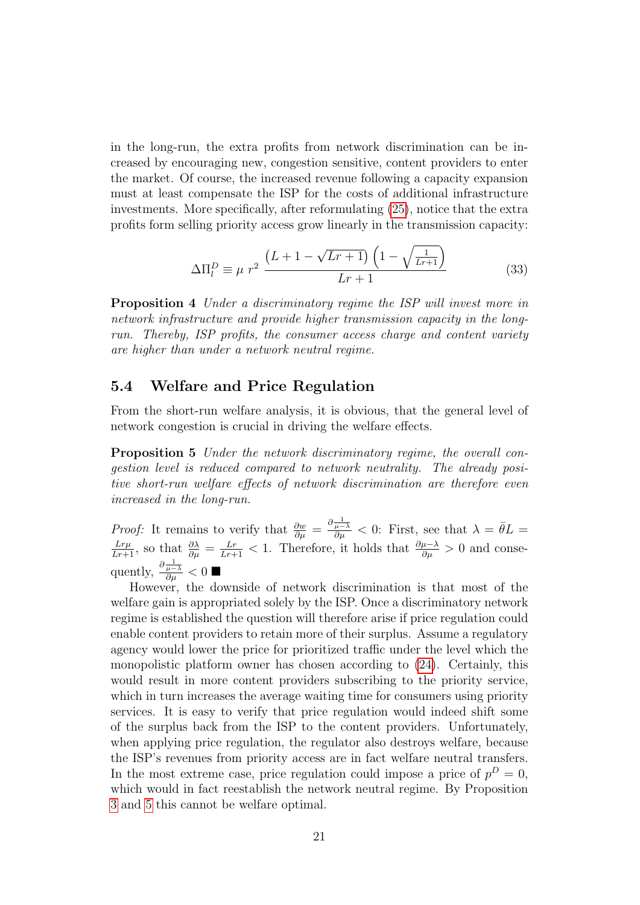in the long-run, the extra profits from network discrimination can be increased by encouraging new, congestion sensitive, content providers to enter the market. Of course, the increased revenue following a capacity expansion must at least compensate the ISP for the costs of additional infrastructure investments. More specifically, after reformulating [\(25\)](#page-14-1), notice that the extra profits form selling priority access grow linearly in the transmission capacity:

<span id="page-20-0"></span>
$$
\Delta \Pi_l^D \equiv \mu \ r^2 \ \frac{\left(L + 1 - \sqrt{Lr + 1}\right)\left(1 - \sqrt{\frac{1}{Lr + 1}}\right)}{Lr + 1} \tag{33}
$$

Proposition 4 Under a discriminatory regime the ISP will invest more in network infrastructure and provide higher transmission capacity in the longrun. Thereby, ISP profits, the consumer access charge and content variety are higher than under a network neutral regime.

#### 5.4 Welfare and Price Regulation

From the short-run welfare analysis, it is obvious, that the general level of network congestion is crucial in driving the welfare effects.

Proposition 5 Under the network discriminatory regime, the overall congestion level is reduced compared to network neutrality. The already positive short-run welfare effects of network discrimination are therefore even increased in the long-run.

*Proof:* It remains to verify that  $\frac{\partial w}{\partial \mu} = \frac{\partial \frac{1}{\mu - \lambda}}{\partial \mu} < 0$ : First, see that  $\lambda = \bar{\theta}L =$  $\frac{Lr\mu}{Lr+1}$ , so that  $\frac{\partial\lambda}{\partial\mu} = \frac{Lr}{Lr+1} < 1$ . Therefore, it holds that  $\frac{\partial\mu-\lambda}{\partial\mu} > 0$  and consequently,  $\frac{\partial \frac{1}{\mu - \lambda}}{\partial \mu} < 0$ 

However, the downside of network discrimination is that most of the welfare gain is appropriated solely by the ISP. Once a discriminatory network regime is established the question will therefore arise if price regulation could enable content providers to retain more of their surplus. Assume a regulatory agency would lower the price for prioritized traffic under the level which the monopolistic platform owner has chosen according to [\(24\)](#page-14-2). Certainly, this would result in more content providers subscribing to the priority service, which in turn increases the average waiting time for consumers using priority services. It is easy to verify that price regulation would indeed shift some of the surplus back from the ISP to the content providers. Unfortunately, when applying price regulation, the regulator also destroys welfare, because the ISP's revenues from priority access are in fact welfare neutral transfers. In the most extreme case, price regulation could impose a price of  $p^D = 0$ , which would in fact reestablish the network neutral regime. By Proposition [3](#page-16-1) and [5](#page-20-0) this cannot be welfare optimal.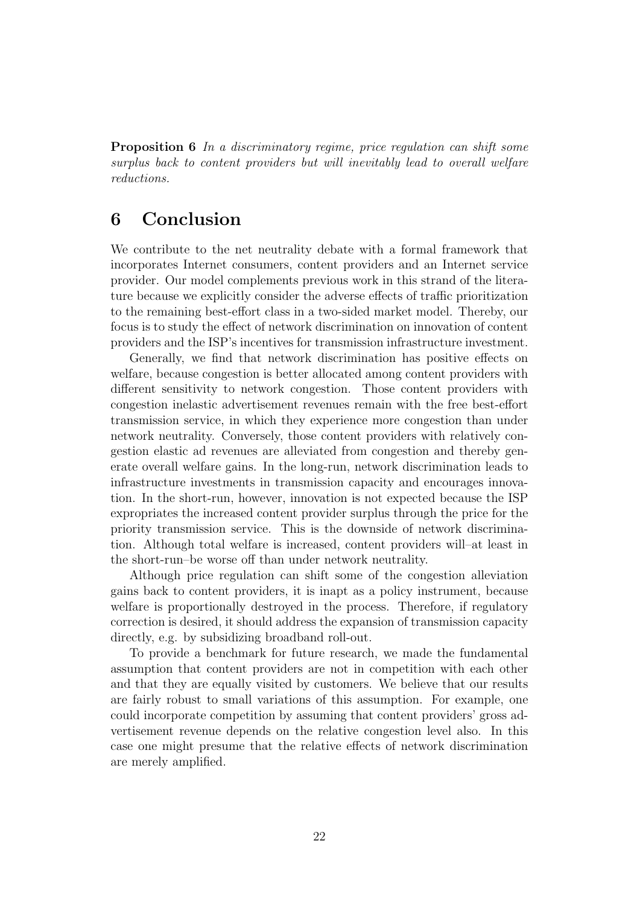Proposition 6 In a discriminatory regime, price regulation can shift some surplus back to content providers but will inevitably lead to overall welfare reductions.

## <span id="page-21-0"></span>6 Conclusion

We contribute to the net neutrality debate with a formal framework that incorporates Internet consumers, content providers and an Internet service provider. Our model complements previous work in this strand of the literature because we explicitly consider the adverse effects of traffic prioritization to the remaining best-effort class in a two-sided market model. Thereby, our focus is to study the effect of network discrimination on innovation of content providers and the ISP's incentives for transmission infrastructure investment.

Generally, we find that network discrimination has positive effects on welfare, because congestion is better allocated among content providers with different sensitivity to network congestion. Those content providers with congestion inelastic advertisement revenues remain with the free best-effort transmission service, in which they experience more congestion than under network neutrality. Conversely, those content providers with relatively congestion elastic ad revenues are alleviated from congestion and thereby generate overall welfare gains. In the long-run, network discrimination leads to infrastructure investments in transmission capacity and encourages innovation. In the short-run, however, innovation is not expected because the ISP expropriates the increased content provider surplus through the price for the priority transmission service. This is the downside of network discrimination. Although total welfare is increased, content providers will–at least in the short-run–be worse off than under network neutrality.

Although price regulation can shift some of the congestion alleviation gains back to content providers, it is inapt as a policy instrument, because welfare is proportionally destroyed in the process. Therefore, if regulatory correction is desired, it should address the expansion of transmission capacity directly, e.g. by subsidizing broadband roll-out.

To provide a benchmark for future research, we made the fundamental assumption that content providers are not in competition with each other and that they are equally visited by customers. We believe that our results are fairly robust to small variations of this assumption. For example, one could incorporate competition by assuming that content providers' gross advertisement revenue depends on the relative congestion level also. In this case one might presume that the relative effects of network discrimination are merely amplified.